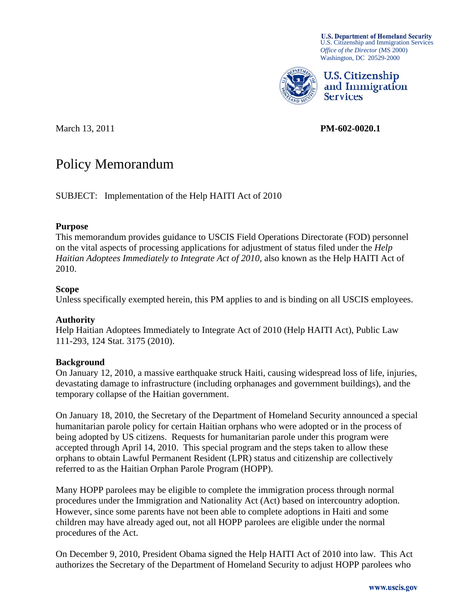U.S. Department of Homeland Security<br>U.S. Citizenship and Immigration Services *Office of the Director* (MS 2000) Washington, DC 20529-2000



U.S. Citizenship and Immigration **Services** 

March 13, 2011 **PM-602-0020.1** 

# Policy Memorandum

SUBJECT: Implementation of the Help HAITI Act of 2010

## **Purpose**

This memorandum provides guidance to USCIS Field Operations Directorate (FOD) personnel on the vital aspects of processing applications for adjustment of status filed under the *Help Haitian Adoptees Immediately to Integrate Act of 2010*, also known as the Help HAITI Act of 2010.

## **Scope**

Unless specifically exempted herein, this PM applies to and is binding on all USCIS employees.

# **Authority**

Help Haitian Adoptees Immediately to Integrate Act of 2010 (Help HAITI Act), Public Law 111-293, 124 Stat. 3175 (2010).

# **Background**

On January 12, 2010, a massive earthquake struck Haiti, causing widespread loss of life, injuries, devastating damage to infrastructure (including orphanages and government buildings), and the temporary collapse of the Haitian government.

On January 18, 2010, the Secretary of the Department of Homeland Security announced a special humanitarian parole policy for certain Haitian orphans who were adopted or in the process of being adopted by US citizens. Requests for humanitarian parole under this program were accepted through April 14, 2010. This special program and the steps taken to allow these orphans to obtain Lawful Permanent Resident (LPR) status and citizenship are collectively referred to as the Haitian Orphan Parole Program (HOPP).

Many HOPP parolees may be eligible to complete the immigration process through normal procedures under the Immigration and Nationality Act (Act) based on intercountry adoption. However, since some parents have not been able to complete adoptions in Haiti and some children may have already aged out, not all HOPP parolees are eligible under the normal procedures of the Act.

On December 9, 2010, President Obama signed the Help HAITI Act of 2010 into law. This Act authorizes the Secretary of the Department of Homeland Security to adjust HOPP parolees who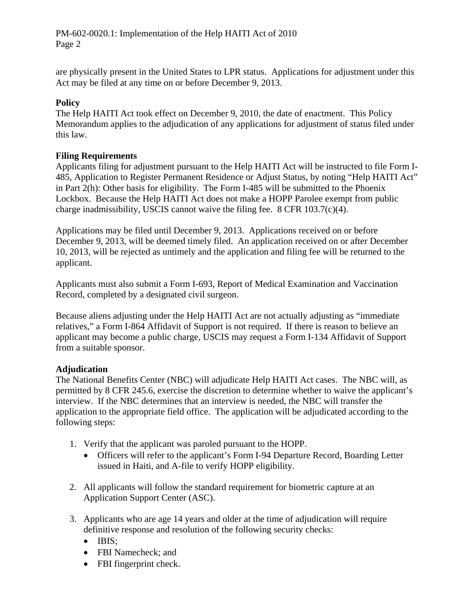PM-602-0020.1: Implementation of the Help HAITI Act of 2010 Page 2

are physically present in the United States to LPR status. Applications for adjustment under this Act may be filed at any time on or before December 9, 2013.

## **Policy**

The Help HAITI Act took effect on December 9, 2010, the date of enactment. This Policy Memorandum applies to the adjudication of any applications for adjustment of status filed under this law.

## **Filing Requirements**

Applicants filing for adjustment pursuant to the Help HAITI Act will be instructed to file Form I-485, Application to Register Permanent Residence or Adjust Status, by noting "Help HAITI Act" in Part 2(h): Other basis for eligibility. The Form I-485 will be submitted to the Phoenix Lockbox. Because the Help HAITI Act does not make a HOPP Parolee exempt from public charge inadmissibility, USCIS cannot waive the filing fee. 8 CFR 103.7(c)(4).

Applications may be filed until December 9, 2013. Applications received on or before December 9, 2013, will be deemed timely filed. An application received on or after December 10, 2013, will be rejected as untimely and the application and filing fee will be returned to the applicant.

Applicants must also submit a Form I-693, Report of Medical Examination and Vaccination Record, completed by a designated civil surgeon.

Because aliens adjusting under the Help HAITI Act are not actually adjusting as "immediate relatives," a Form I-864 Affidavit of Support is not required. If there is reason to believe an applicant may become a public charge, USCIS may request a Form I-134 Affidavit of Support from a suitable sponsor.

#### **Adjudication**

The National Benefits Center (NBC) will adjudicate Help HAITI Act cases. The NBC will, as permitted by 8 CFR 245.6, exercise the discretion to determine whether to waive the applicant's interview. If the NBC determines that an interview is needed, the NBC will transfer the application to the appropriate field office. The application will be adjudicated according to the following steps:

- 1. Verify that the applicant was paroled pursuant to the HOPP.
	- Officers will refer to the applicant's Form I-94 Departure Record, Boarding Letter issued in Haiti, and A-file to verify HOPP eligibility.
- 2. All applicants will follow the standard requirement for biometric capture at an Application Support Center (ASC).
- 3. Applicants who are age 14 years and older at the time of adjudication will require definitive response and resolution of the following security checks:
	- $\bullet$  IBIS:
	- FBI Namecheck; and
	- FBI fingerprint check.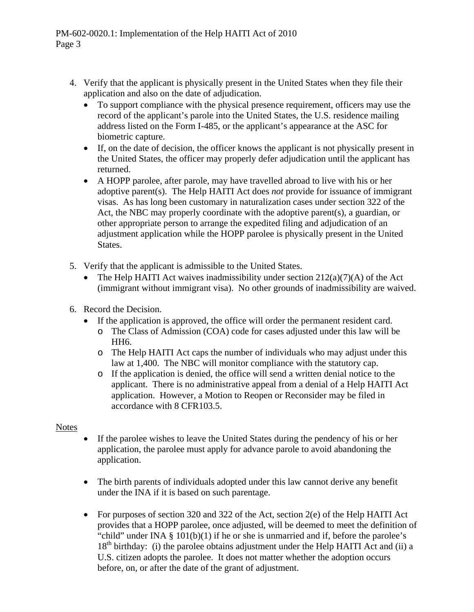- 4. Verify that the applicant is physically present in the United States when they file their application and also on the date of adjudication.
	- To support compliance with the physical presence requirement, officers may use the record of the applicant's parole into the United States, the U.S. residence mailing address listed on the Form I-485, or the applicant's appearance at the ASC for biometric capture.
	- If, on the date of decision, the officer knows the applicant is not physically present in the United States, the officer may properly defer adjudication until the applicant has returned.
	- A HOPP parolee, after parole, may have travelled abroad to live with his or her adoptive parent(s). The Help HAITI Act does *not* provide for issuance of immigrant visas. As has long been customary in naturalization cases under section 322 of the Act, the NBC may properly coordinate with the adoptive parent(s), a guardian, or other appropriate person to arrange the expedited filing and adjudication of an adjustment application while the HOPP parolee is physically present in the United States.
- 5. Verify that the applicant is admissible to the United States.
	- The Help HAITI Act waives inadmissibility under section  $212(a)(7)(A)$  of the Act (immigrant without immigrant visa). No other grounds of inadmissibility are waived.
- 6. Record the Decision.
	- If the application is approved, the office will order the permanent resident card.
		- o The Class of Admission (COA) code for cases adjusted under this law will be HH6.
		- o The Help HAITI Act caps the number of individuals who may adjust under this law at 1,400. The NBC will monitor compliance with the statutory cap.
		- o If the application is denied, the office will send a written denial notice to the applicant. There is no administrative appeal from a denial of a Help HAITI Act application. However, a Motion to Reopen or Reconsider may be filed in accordance with 8 CFR103.5.

# Notes

- If the parolee wishes to leave the United States during the pendency of his or her application, the parolee must apply for advance parole to avoid abandoning the application.
- The birth parents of individuals adopted under this law cannot derive any benefit under the INA if it is based on such parentage.
- For purposes of section 320 and 322 of the Act, section 2(e) of the Help HAITI Act provides that a HOPP parolee, once adjusted, will be deemed to meet the definition of "child" under INA  $\S$  101(b)(1) if he or she is unmarried and if, before the parolee's  $18<sup>th</sup>$  birthday: (i) the parolee obtains adjustment under the Help HAITI Act and (ii) a U.S. citizen adopts the parolee. It does not matter whether the adoption occurs before, on, or after the date of the grant of adjustment.